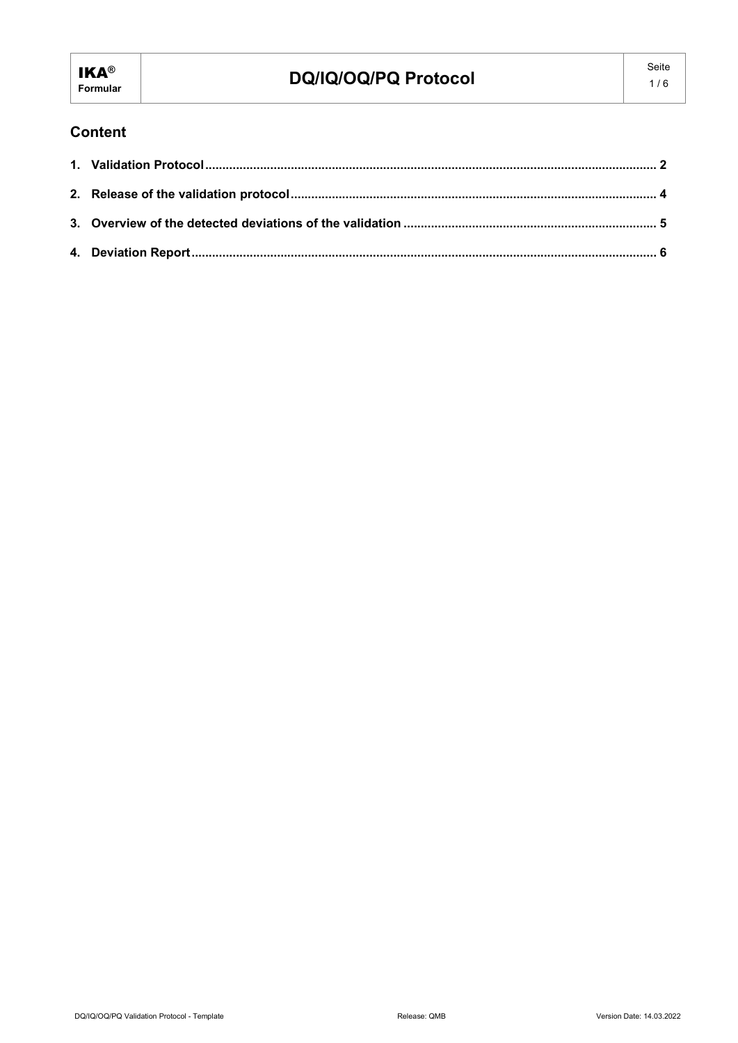# **Content**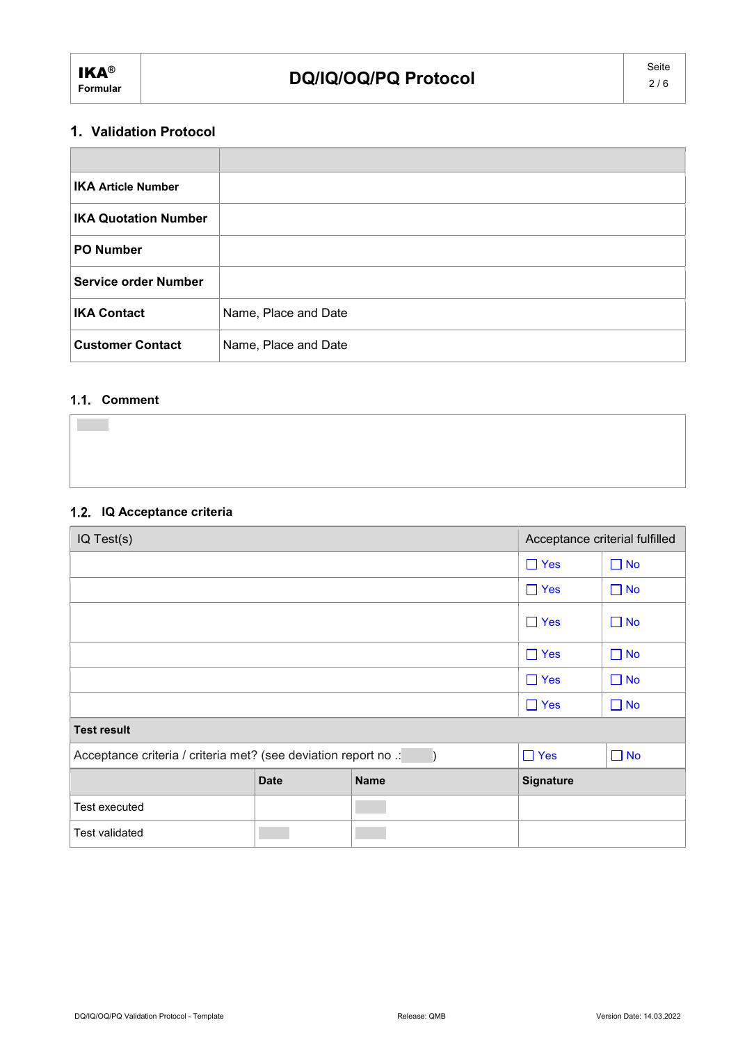## 1. Validation Protocol

| <b>IKA Article Number</b>   |                      |
|-----------------------------|----------------------|
| <b>IKA Quotation Number</b> |                      |
| <b>PO Number</b>            |                      |
| <b>Service order Number</b> |                      |
| <b>IKA Contact</b>          | Name, Place and Date |
| <b>Customer Contact</b>     | Name, Place and Date |

## 1.1. Comment

### 1.2. IQ Acceptance criteria

| IQ Test(s)                                                      | Acceptance criterial fulfilled |              |            |           |
|-----------------------------------------------------------------|--------------------------------|--------------|------------|-----------|
|                                                                 |                                |              | $\Box$ Yes | $\Box$ No |
|                                                                 |                                |              | $\Box$ Yes | $\Box$ No |
|                                                                 | $\Box$ Yes                     | $\square$ No |            |           |
|                                                                 | $\Box$ Yes                     | $\Box$ No    |            |           |
|                                                                 | $\Box$ Yes                     | $\Box$ No    |            |           |
|                                                                 |                                |              | $\Box$ Yes | $\Box$ No |
| <b>Test result</b>                                              |                                |              |            |           |
| Acceptance criteria / criteria met? (see deviation report no .: | $\Box$ Yes                     | $\Box$ No    |            |           |
| <b>Name</b><br><b>Date</b><br><b>Signature</b>                  |                                |              |            |           |
| Test executed                                                   |                                |              |            |           |
| <b>Test validated</b>                                           |                                |              |            |           |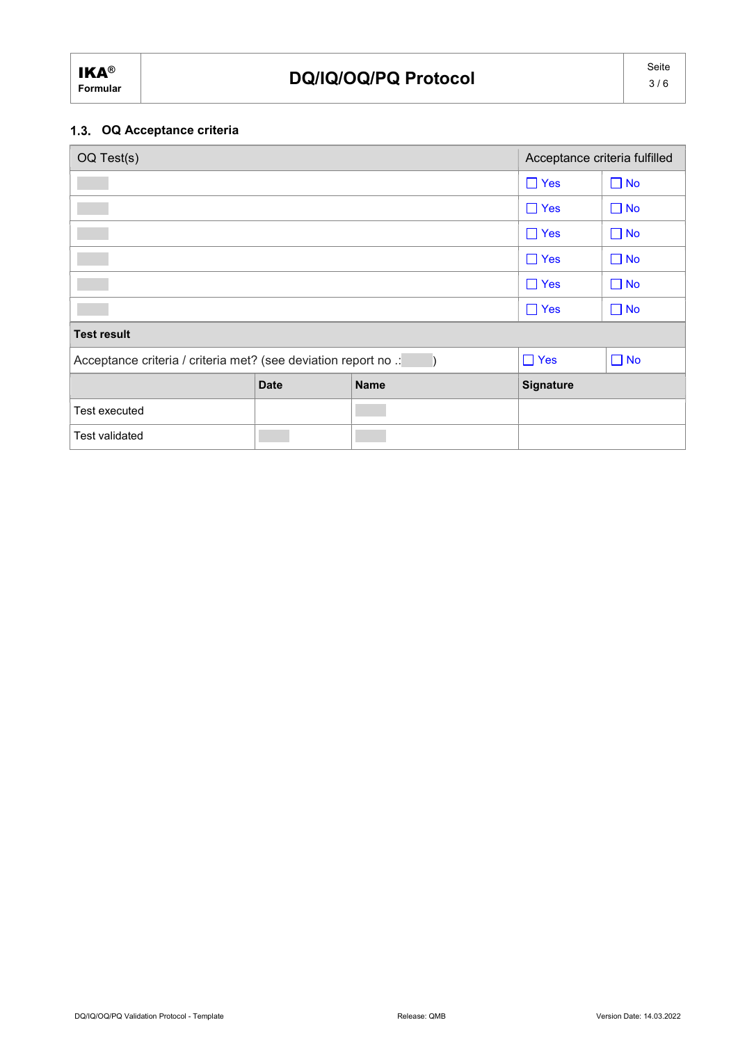## 1.3. OQ Acceptance criteria

| OQ Test(s)                                                      | Acceptance criteria fulfilled |            |           |
|-----------------------------------------------------------------|-------------------------------|------------|-----------|
|                                                                 |                               | $\Box$ Yes | $\Box$ No |
|                                                                 |                               | $\Box$ Yes | $\Box$ No |
|                                                                 |                               | $\Box$ Yes | $\Box$ No |
|                                                                 |                               | $\Box$ Yes | $\Box$ No |
|                                                                 | $\Box$ Yes                    | $\Box$ No  |           |
|                                                                 | $\Box$ Yes                    | $\Box$ No  |           |
| <b>Test result</b>                                              |                               |            |           |
| Acceptance criteria / criteria met? (see deviation report no .: | $\Box$ Yes                    | $\Box$ No  |           |
|                                                                 | <b>Signature</b>              |            |           |
| Test executed                                                   |                               |            |           |
| Test validated                                                  |                               |            |           |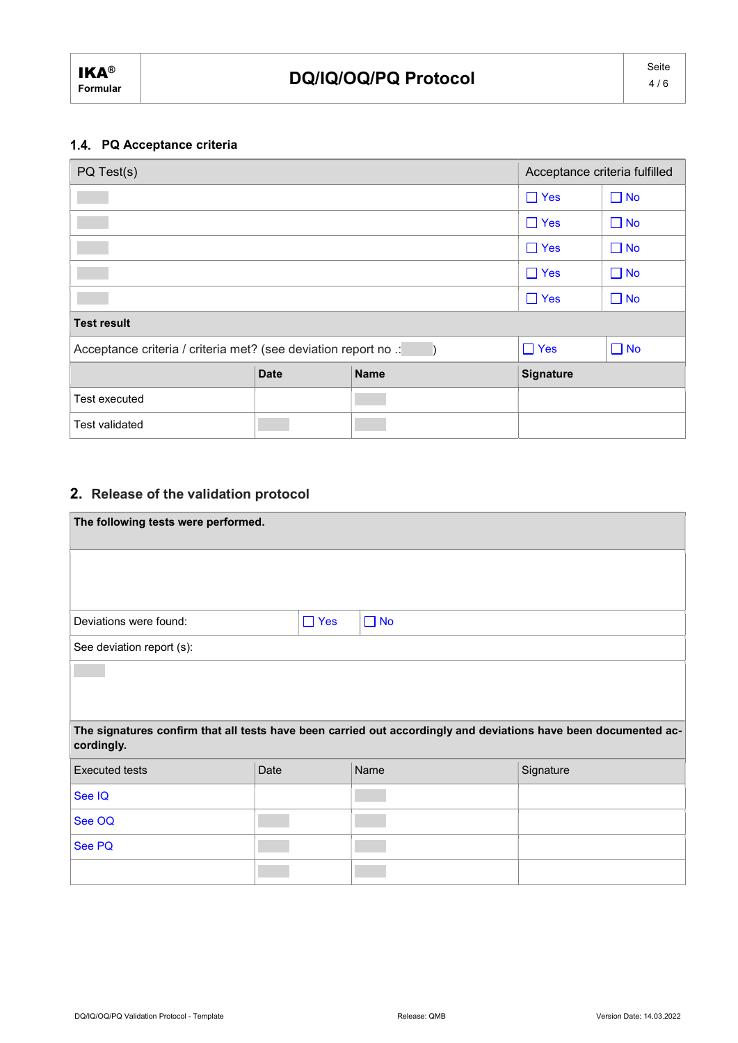## 1.4. PQ Acceptance criteria

| PQ Test(s)                 | Acceptance criteria fulfilled                                   |  |                  |              |  |  |
|----------------------------|-----------------------------------------------------------------|--|------------------|--------------|--|--|
|                            |                                                                 |  | $\Box$ Yes       | $\square$ No |  |  |
|                            |                                                                 |  | $\Box$ Yes       | $\square$ No |  |  |
|                            |                                                                 |  | $\Box$ Yes       | $\square$ No |  |  |
|                            |                                                                 |  | $\Box$ Yes       | $\Box$ No    |  |  |
|                            |                                                                 |  | $\Box$ Yes       | $\Box$ No    |  |  |
| <b>Test result</b>         |                                                                 |  |                  |              |  |  |
|                            | Acceptance criteria / criteria met? (see deviation report no .: |  |                  |              |  |  |
| <b>Name</b><br><b>Date</b> |                                                                 |  | <b>Signature</b> |              |  |  |
| Test executed              |                                                                 |  |                  |              |  |  |
| Test validated             |                                                                 |  |                  |              |  |  |

## 2. Release of the validation protocol

| The following tests were performed.                                                                             |            |           |           |  |  |
|-----------------------------------------------------------------------------------------------------------------|------------|-----------|-----------|--|--|
|                                                                                                                 |            |           |           |  |  |
|                                                                                                                 |            |           |           |  |  |
| Deviations were found:                                                                                          | $\Box$ Yes | $\Box$ No |           |  |  |
| See deviation report (s):                                                                                       |            |           |           |  |  |
|                                                                                                                 |            |           |           |  |  |
|                                                                                                                 |            |           |           |  |  |
| The signatures confirm that all tests have been carried out accordingly and deviations have been documented ac- |            |           |           |  |  |
| cordingly.                                                                                                      |            |           |           |  |  |
| <b>Executed tests</b>                                                                                           | Date       | Name      | Signature |  |  |
| See IQ                                                                                                          |            |           |           |  |  |
| See OQ                                                                                                          |            |           |           |  |  |
| See PQ                                                                                                          |            |           |           |  |  |
|                                                                                                                 |            |           |           |  |  |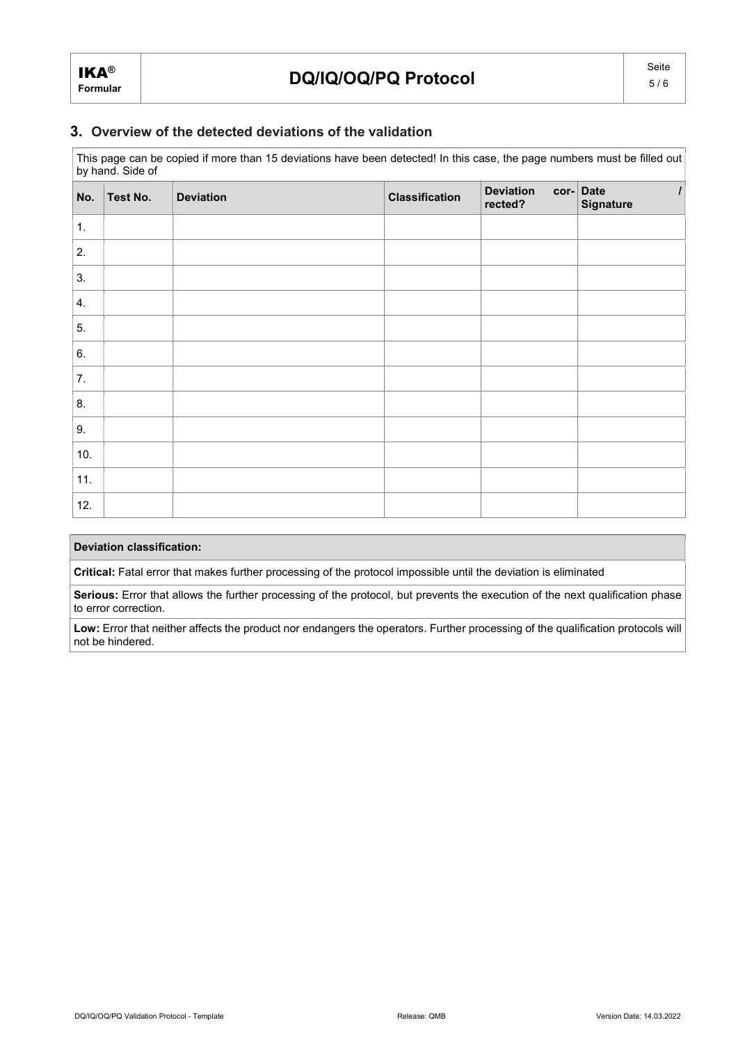## 3. Overview of the detected deviations of the validation

This page can be copied if more than 15 deviations have been detected! In this case, the page numbers must be filled out by hand. Side of

| $\overline{\phantom{a}}$<br>No. | Test No. | <b>Deviation</b> | <b>Classification</b> | <b>Deviation</b><br>rected? | cor-Date<br>Signature |
|---------------------------------|----------|------------------|-----------------------|-----------------------------|-----------------------|
| 1.                              |          |                  |                       |                             |                       |
| 2.                              |          |                  |                       |                             |                       |
| 3.                              |          |                  |                       |                             |                       |
| 4.                              |          |                  |                       |                             |                       |
| 5.                              |          |                  |                       |                             |                       |
| 6.                              |          |                  |                       |                             |                       |
| 7.                              |          |                  |                       |                             |                       |
| 8.                              |          |                  |                       |                             |                       |
| 9.                              |          |                  |                       |                             |                       |
| 10.                             |          |                  |                       |                             |                       |
| 11.                             |          |                  |                       |                             |                       |
| 12.                             |          |                  |                       |                             |                       |

#### Deviation classification:

Critical: Fatal error that makes further processing of the protocol impossible until the deviation is eliminated

Serious: Error that allows the further processing of the protocol, but prevents the execution of the next qualification phase to error correction.

Low: Error that neither affects the product nor endangers the operators. Further processing of the qualification protocols will not be hindered.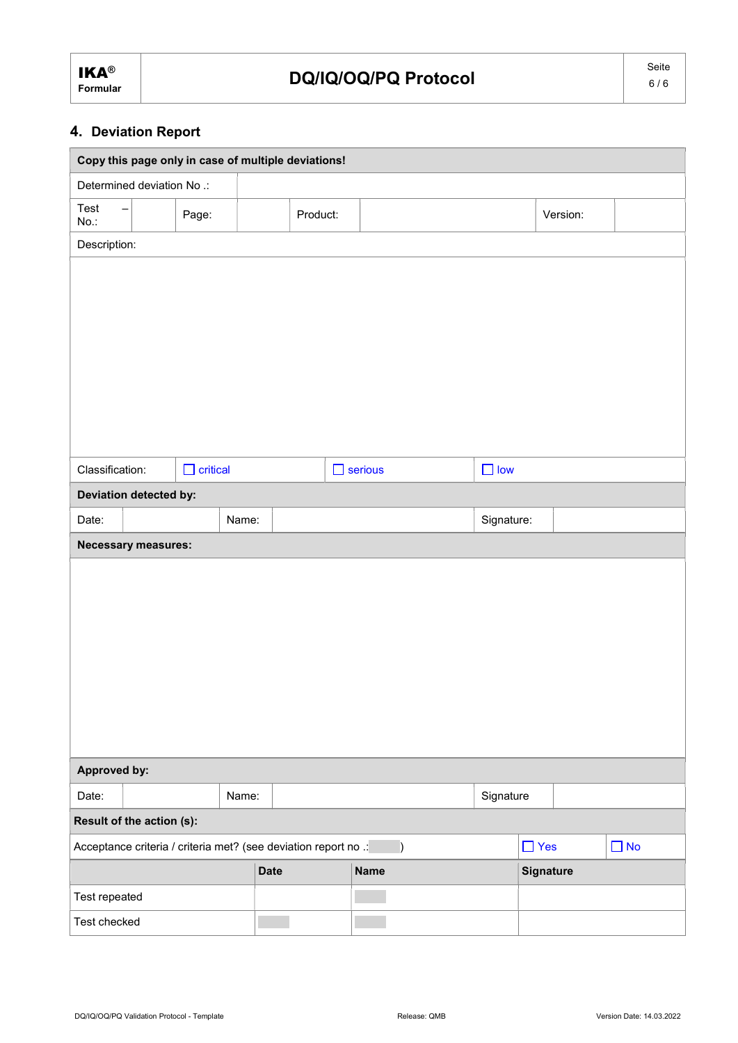## 4. Deviation Report

| Copy this page only in case of multiple deviations!             |                            |                 |             |          |                |            |            |          |           |
|-----------------------------------------------------------------|----------------------------|-----------------|-------------|----------|----------------|------------|------------|----------|-----------|
| Determined deviation No .:                                      |                            |                 |             |          |                |            |            |          |           |
| Test<br>No.:                                                    | $\qquad \qquad -$          | Page:           |             | Product: |                |            |            | Version: |           |
| Description:                                                    |                            |                 |             |          |                |            |            |          |           |
|                                                                 |                            |                 |             |          |                |            |            |          |           |
|                                                                 |                            |                 |             |          |                |            |            |          |           |
|                                                                 |                            |                 |             |          |                |            |            |          |           |
|                                                                 |                            |                 |             |          |                |            |            |          |           |
|                                                                 |                            |                 |             |          |                |            |            |          |           |
|                                                                 |                            |                 |             |          |                |            |            |          |           |
|                                                                 |                            |                 |             |          |                |            |            |          |           |
|                                                                 |                            |                 |             |          |                |            |            |          |           |
| Classification:                                                 |                            | $\Box$ critical |             |          | $\Box$ serious | $\Box$ low |            |          |           |
|                                                                 | Deviation detected by:     |                 |             |          |                |            |            |          |           |
| Date:                                                           |                            |                 | Name:       |          |                | Signature: |            |          |           |
|                                                                 | <b>Necessary measures:</b> |                 |             |          |                |            |            |          |           |
|                                                                 |                            |                 |             |          |                |            |            |          |           |
|                                                                 |                            |                 |             |          |                |            |            |          |           |
|                                                                 |                            |                 |             |          |                |            |            |          |           |
|                                                                 |                            |                 |             |          |                |            |            |          |           |
|                                                                 |                            |                 |             |          |                |            |            |          |           |
|                                                                 |                            |                 |             |          |                |            |            |          |           |
|                                                                 |                            |                 |             |          |                |            |            |          |           |
|                                                                 |                            |                 |             |          |                |            |            |          |           |
|                                                                 | Approved by:               |                 |             |          |                |            |            |          |           |
| Date:                                                           |                            |                 | Name:       |          |                | Signature  |            |          |           |
|                                                                 | Result of the action (s):  |                 |             |          |                |            |            |          |           |
| Acceptance criteria / criteria met? (see deviation report no .: |                            |                 |             |          |                |            | $\Box$ Yes |          | $\Box$ No |
|                                                                 |                            |                 | <b>Date</b> |          | <b>Name</b>    |            | Signature  |          |           |
| Test repeated                                                   |                            |                 |             |          |                |            |            |          |           |
| Test checked                                                    |                            |                 |             |          |                |            |            |          |           |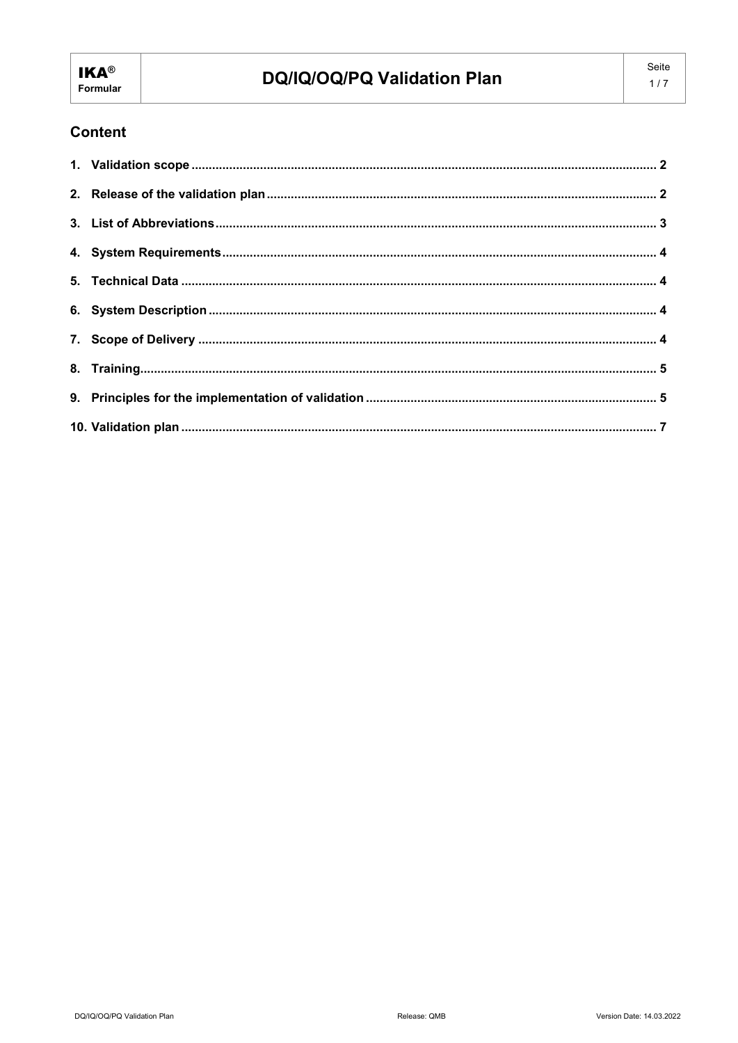# **Content**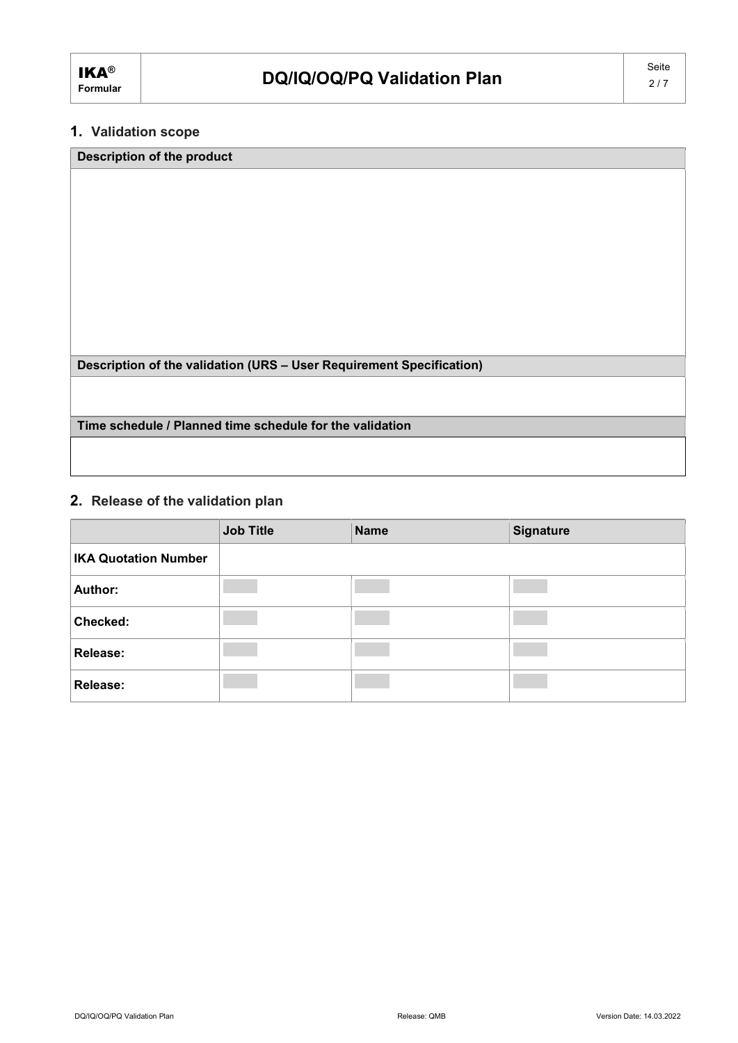## 1. Validation scope

| Description of the product                                           |
|----------------------------------------------------------------------|
|                                                                      |
|                                                                      |
|                                                                      |
|                                                                      |
|                                                                      |
|                                                                      |
|                                                                      |
|                                                                      |
|                                                                      |
|                                                                      |
| Description of the validation (URS - User Requirement Specification) |
|                                                                      |
|                                                                      |
| Time schedule / Planned time schedule for the validation             |
|                                                                      |
|                                                                      |

# 2. Release of the validation plan

|                             | <b>Job Title</b> | <b>Name</b> | <b>Signature</b> |
|-----------------------------|------------------|-------------|------------------|
| <b>IKA Quotation Number</b> |                  |             |                  |
| Author:                     |                  |             |                  |
| Checked:                    |                  |             |                  |
| Release:                    |                  |             |                  |
| Release:                    |                  |             |                  |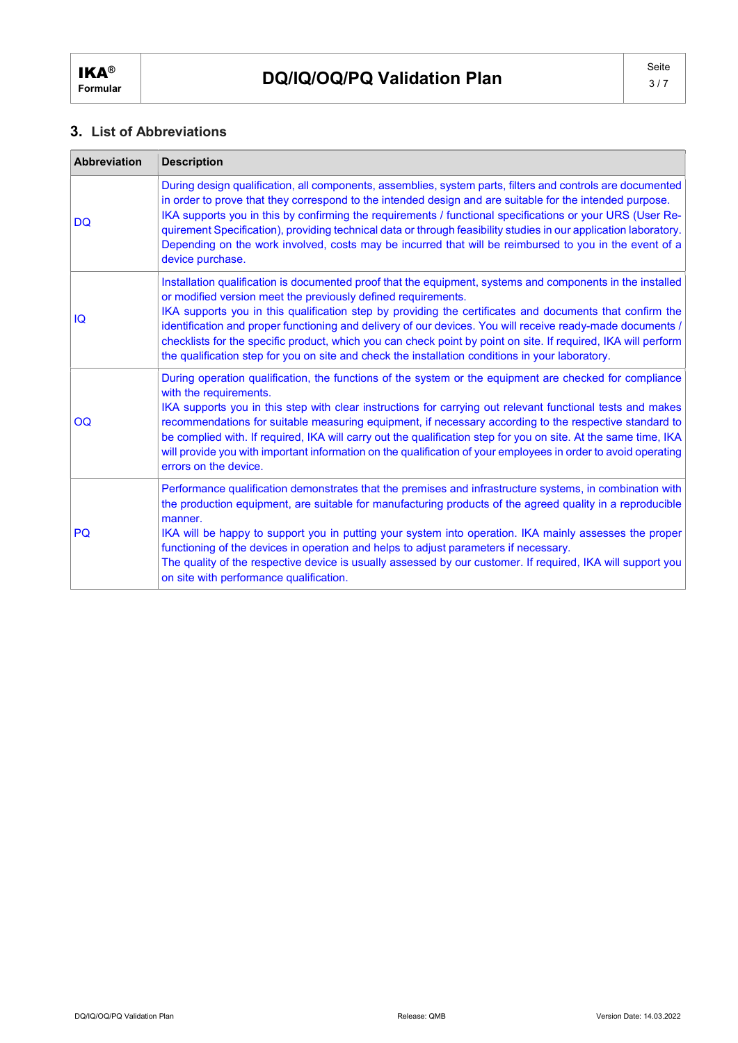## 3. List of Abbreviations

| <b>Abbreviation</b> | <b>Description</b>                                                                                                                                                                                                                                                                                                                                                                                                                                                                                                                                                                                                          |
|---------------------|-----------------------------------------------------------------------------------------------------------------------------------------------------------------------------------------------------------------------------------------------------------------------------------------------------------------------------------------------------------------------------------------------------------------------------------------------------------------------------------------------------------------------------------------------------------------------------------------------------------------------------|
| <b>DQ</b>           | During design qualification, all components, assemblies, system parts, filters and controls are documented<br>in order to prove that they correspond to the intended design and are suitable for the intended purpose.<br>IKA supports you in this by confirming the requirements / functional specifications or your URS (User Re-<br>quirement Specification), providing technical data or through feasibility studies in our application laboratory.<br>Depending on the work involved, costs may be incurred that will be reimbursed to you in the event of a<br>device purchase.                                       |
| IQ                  | Installation qualification is documented proof that the equipment, systems and components in the installed<br>or modified version meet the previously defined requirements.<br>IKA supports you in this qualification step by providing the certificates and documents that confirm the<br>identification and proper functioning and delivery of our devices. You will receive ready-made documents /<br>checklists for the specific product, which you can check point by point on site. If required, IKA will perform<br>the qualification step for you on site and check the installation conditions in your laboratory. |
| OQ                  | During operation qualification, the functions of the system or the equipment are checked for compliance<br>with the requirements.<br>IKA supports you in this step with clear instructions for carrying out relevant functional tests and makes<br>recommendations for suitable measuring equipment, if necessary according to the respective standard to<br>be complied with. If required, IKA will carry out the qualification step for you on site. At the same time, IKA<br>will provide you with important information on the qualification of your employees in order to avoid operating<br>errors on the device.     |
| PQ                  | Performance qualification demonstrates that the premises and infrastructure systems, in combination with<br>the production equipment, are suitable for manufacturing products of the agreed quality in a reproducible<br>manner.<br>IKA will be happy to support you in putting your system into operation. IKA mainly assesses the proper<br>functioning of the devices in operation and helps to adjust parameters if necessary.<br>The quality of the respective device is usually assessed by our customer. If required, IKA will support you<br>on site with performance qualification.                                |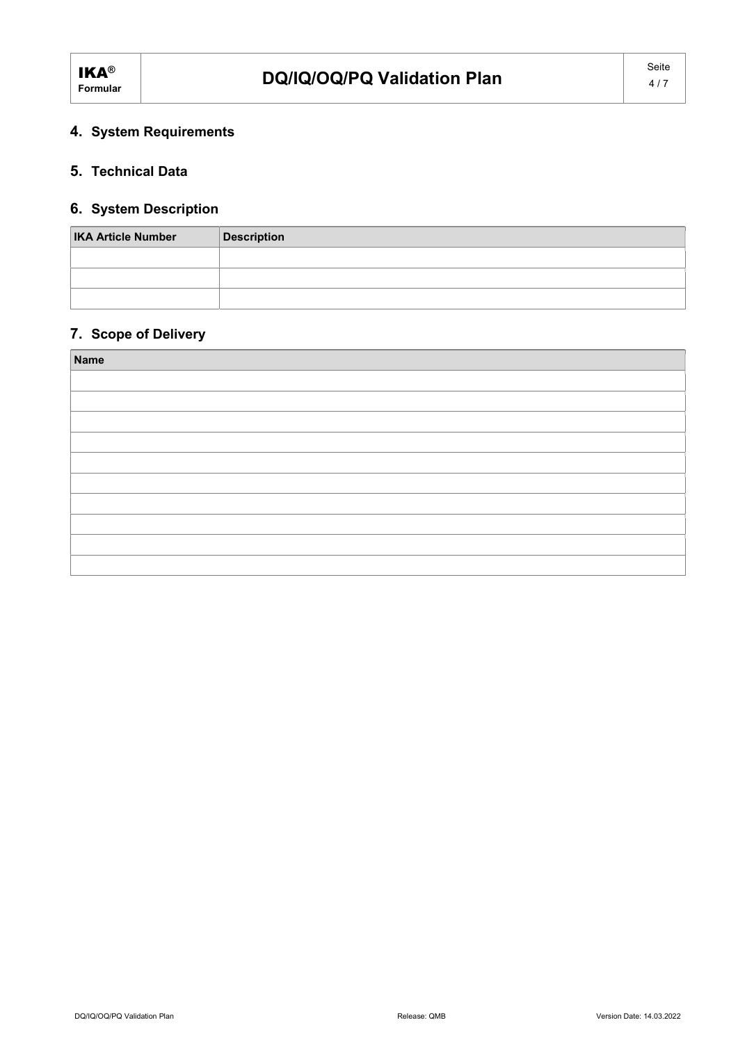## 4. System Requirements

## 5. Technical Data

## 6. System Description

| <b>IKA Article Number</b> | <b>Description</b> |
|---------------------------|--------------------|
|                           |                    |
|                           |                    |
|                           |                    |

## 7. Scope of Delivery

| <b>Name</b> |
|-------------|
|             |
|             |
|             |
|             |
|             |
|             |
|             |
|             |
|             |
|             |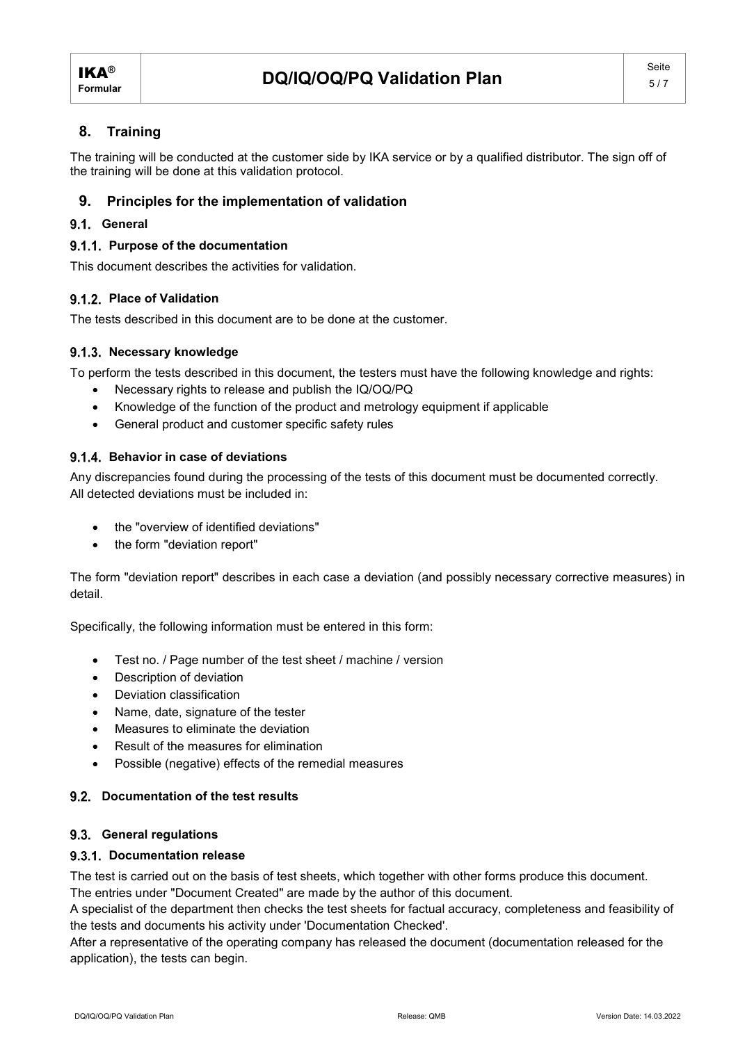## 8. Training

The training will be conducted at the customer side by IKA service or by a qualified distributor. The sign off of the training will be done at this validation protocol.

## 9. Principles for the implementation of validation

### 9.1. General

### 9.1.1. Purpose of the documentation

This document describes the activities for validation.

### 9.1.2. Place of Validation

The tests described in this document are to be done at the customer.

### 9.1.3. Necessary knowledge

To perform the tests described in this document, the testers must have the following knowledge and rights:

- Necessary rights to release and publish the IQ/OQ/PQ
- Knowledge of the function of the product and metrology equipment if applicable
- General product and customer specific safety rules

### 9.1.4. Behavior in case of deviations

Any discrepancies found during the processing of the tests of this document must be documented correctly. All detected deviations must be included in:

- the "overview of identified deviations"
- the form "deviation report"

The form "deviation report" describes in each case a deviation (and possibly necessary corrective measures) in detail.

Specifically, the following information must be entered in this form:

- Test no. / Page number of the test sheet / machine / version
- Description of deviation
- Deviation classification
- Name, date, signature of the tester
- Measures to eliminate the deviation
- Result of the measures for elimination
- Possible (negative) effects of the remedial measures

#### 9.2. Documentation of the test results

#### 9.3. General regulations

#### 9.3.1. Documentation release

The test is carried out on the basis of test sheets, which together with other forms produce this document. The entries under "Document Created" are made by the author of this document.

A specialist of the department then checks the test sheets for factual accuracy, completeness and feasibility of the tests and documents his activity under 'Documentation Checked'.

After a representative of the operating company has released the document (documentation released for the application), the tests can begin.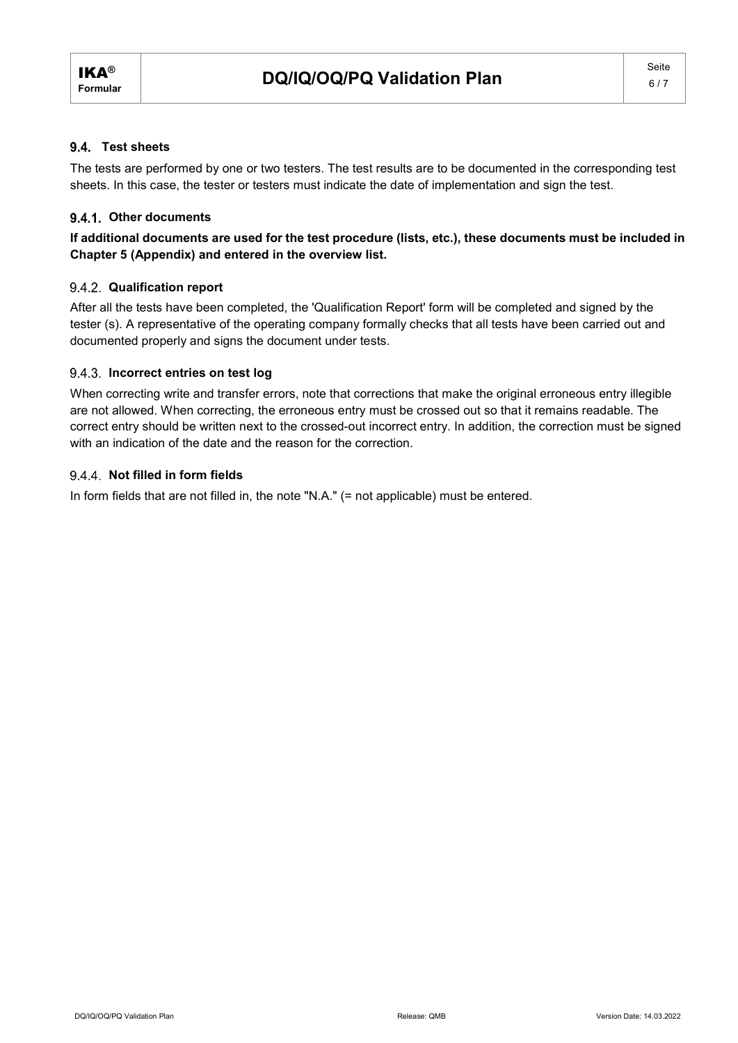#### 9.4 Test sheets

The tests are performed by one or two testers. The test results are to be documented in the corresponding test sheets. In this case, the tester or testers must indicate the date of implementation and sign the test.

### 9.4.1. Other documents

### If additional documents are used for the test procedure (lists, etc.), these documents must be included in Chapter 5 (Appendix) and entered in the overview list.

### 9.4.2. Qualification report

After all the tests have been completed, the 'Qualification Report' form will be completed and signed by the tester (s). A representative of the operating company formally checks that all tests have been carried out and documented properly and signs the document under tests.

### 9.4.3. Incorrect entries on test log

When correcting write and transfer errors, note that corrections that make the original erroneous entry illegible are not allowed. When correcting, the erroneous entry must be crossed out so that it remains readable. The correct entry should be written next to the crossed-out incorrect entry. In addition, the correction must be signed with an indication of the date and the reason for the correction.

#### 9.4.4. Not filled in form fields

In form fields that are not filled in, the note "N.A." (= not applicable) must be entered.